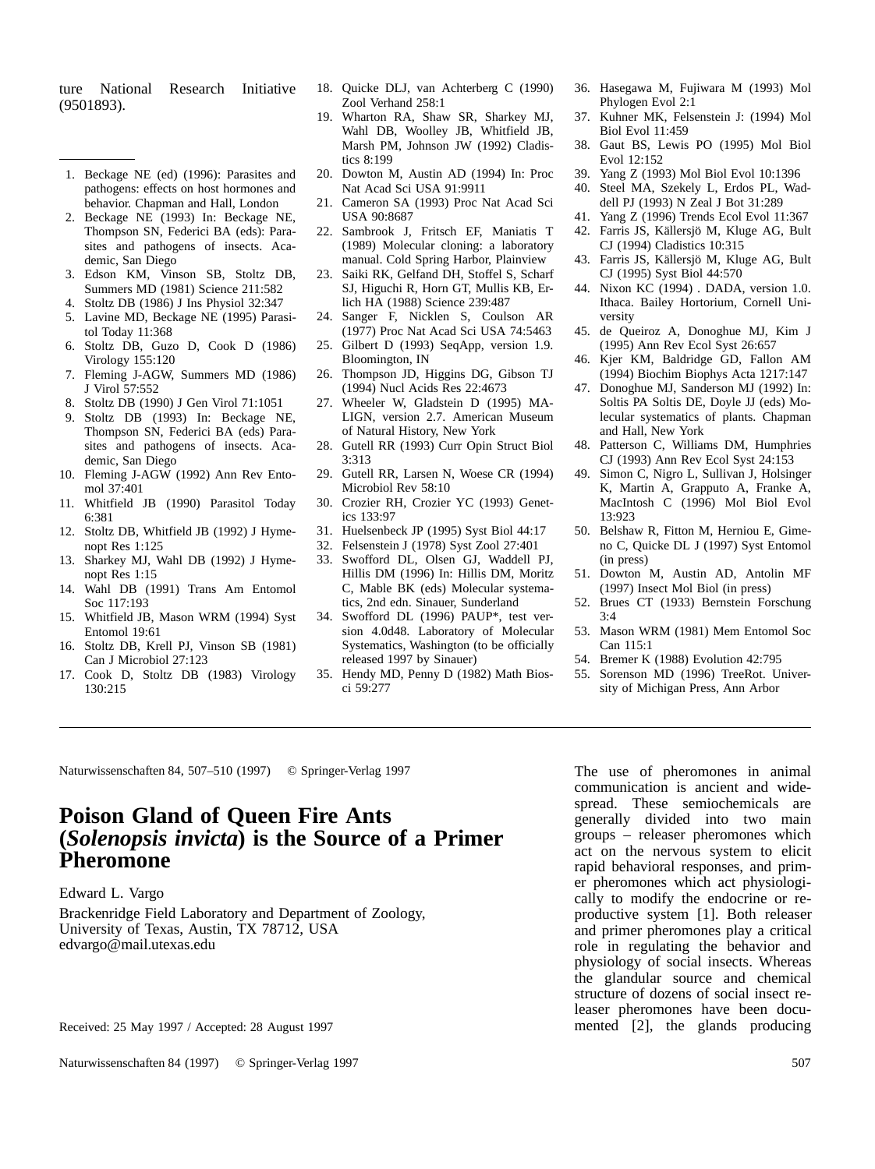ture National Research Initiative (9501893).

- 1. Beckage NE (ed) (1996): Parasites and pathogens: effects on host hormones and behavior. Chapman and Hall, London
- 2. Beckage NE (1993) In: Beckage NE, Thompson SN, Federici BA (eds): Parasites and pathogens of insects. Academic, San Diego
- 3. Edson KM, Vinson SB, Stoltz DB, Summers MD (1981) Science 211:582
- 4. Stoltz DB (1986) J Ins Physiol 32:347
- 5. Lavine MD, Beckage NE (1995) Parasitol Today 11:368
- 6. Stoltz DB, Guzo D, Cook D (1986) Virology 155:120
- 7. Fleming J-AGW, Summers MD (1986) J Virol 57:552
- 8. Stoltz DB (1990) J Gen Virol 71:1051
- 9. Stoltz DB (1993) In: Beckage NE, Thompson SN, Federici BA (eds) Parasites and pathogens of insects. Academic, San Diego
- 10. Fleming J-AGW (1992) Ann Rev Entomol 37:401
- 11. Whitfield JB (1990) Parasitol Today 6:381
- 12. Stoltz DB, Whitfield JB (1992) J Hymenopt Res 1:125
- 13. Sharkey MJ, Wahl DB (1992) J Hymenopt Res 1:15
- 14. Wahl DB (1991) Trans Am Entomol Soc 117:193
- 15. Whitfield JB, Mason WRM (1994) Syst Entomol 19:61
- 16. Stoltz DB, Krell PJ, Vinson SB (1981) Can J Microbiol 27:123
- 17. Cook D, Stoltz DB (1983) Virology 130:215
- 18. Quicke DLJ, van Achterberg C (1990) Zool Verhand 258:1
- 19. Wharton RA, Shaw SR, Sharkey MJ, Wahl DB, Woolley JB, Whitfield JB, Marsh PM, Johnson JW (1992) Cladistics 8:199
- 20. Dowton M, Austin AD (1994) In: Proc Nat Acad Sci USA 91:9911
- 21. Cameron SA (1993) Proc Nat Acad Sci USA 90:8687
- 22. Sambrook J, Fritsch EF, Maniatis T (1989) Molecular cloning: a laboratory manual. Cold Spring Harbor, Plainview
- 23. Saiki RK, Gelfand DH, Stoffel S, Scharf SJ, Higuchi R, Horn GT, Mullis KB, Erlich HA (1988) Science 239:487
- 24. Sanger F, Nicklen S, Coulson AR (1977) Proc Nat Acad Sci USA 74:5463
- 25. Gilbert D (1993) SeqApp, version 1.9. Bloomington, IN
- 26. Thompson JD, Higgins DG, Gibson TJ (1994) Nucl Acids Res 22:4673
- 27. Wheeler W, Gladstein D (1995) MA-LIGN, version 2.7. American Museum of Natural History, New York
- 28. Gutell RR (1993) Curr Opin Struct Biol 3:313
- 29. Gutell RR, Larsen N, Woese CR (1994) Microbiol Rev 58:10
- 30. Crozier RH, Crozier YC (1993) Genetics 133:97
- 31. Huelsenbeck JP (1995) Syst Biol 44:17
- 32. Felsenstein J (1978) Syst Zool 27:401
- 33. Swofford DL, Olsen GJ, Waddell PJ, Hillis DM (1996) In: Hillis DM, Moritz C, Mable BK (eds) Molecular systematics, 2nd edn. Sinauer, Sunderland
- 34. Swofford DL (1996) PAUP\*, test version 4.0d48. Laboratory of Molecular Systematics, Washington (to be officially released 1997 by Sinauer)
- 35. Hendy MD, Penny D (1982) Math Biosci 59:277
- 36. Hasegawa M, Fujiwara M (1993) Mol Phylogen Evol 2:1
- 37. Kuhner MK, Felsenstein J: (1994) Mol Biol Evol 11:459
- 38. Gaut BS, Lewis PO (1995) Mol Biol Evol 12:152
- 39. Yang Z (1993) Mol Biol Evol 10:1396
- 40. Steel MA, Szekely L, Erdos PL, Waddell PJ (1993) N Zeal J Bot 31:289
- 41. Yang Z (1996) Trends Ecol Evol 11:367
- 42. Farris JS, Källersjö M, Kluge AG, Bult CJ (1994) Cladistics 10:315
- 43. Farris JS, Källersjö M, Kluge AG, Bult CJ (1995) Syst Biol 44:570
- 44. Nixon KC (1994) . DADA, version 1.0. Ithaca. Bailey Hortorium, Cornell University
- 45. de Queiroz A, Donoghue MJ, Kim J (1995) Ann Rev Ecol Syst 26:657
- 46. Kjer KM, Baldridge GD, Fallon AM (1994) Biochim Biophys Acta 1217:147
- 47. Donoghue MJ, Sanderson MJ (1992) In: Soltis PA Soltis DE, Doyle JJ (eds) Molecular systematics of plants. Chapman and Hall, New York
- 48. Patterson C, Williams DM, Humphries CJ (1993) Ann Rev Ecol Syst 24:153
- 49. Simon C, Nigro L, Sullivan J, Holsinger K, Martin A, Grapputo A, Franke A, MacIntosh C (1996) Mol Biol Evol 13:923
- 50. Belshaw R, Fitton M, Herniou E, Gimeno C, Quicke DL J (1997) Syst Entomol (in press)
- 51. Dowton M, Austin AD, Antolin MF (1997) Insect Mol Biol (in press)
- 52. Brues CT (1933) Bernstein Forschung 3:4
- 53. Mason WRM (1981) Mem Entomol Soc Can 115:1
- 54. Bremer K (1988) Evolution 42:795
- 55. Sorenson MD (1996) TreeRot. University of Michigan Press, Ann Arbor

Naturwissenschaften 84, 507-510 (1997) © Springer-Verlag 1997 The use of pheromones in animal

## **Poison Gland of Queen Fire Ants (***Solenopsis invicta***) is the Source of a Primer Pheromone**

Edward L. Vargo

Brackenridge Field Laboratory and Department of Zoology, University of Texas, Austin, TX 78712, USA edvargo@mail.utexas.edu

Received: 25 May 1997 / Accepted: 28 August 1997

Naturwissenschaften 84 (1997) © Springer-Verlag 1997 507

communication is ancient and widespread. These semiochemicals are generally divided into two main groups – releaser pheromones which act on the nervous system to elicit rapid behavioral responses, and primer pheromones which act physiologically to modify the endocrine or reproductive system [1]. Both releaser and primer pheromones play a critical role in regulating the behavior and physiology of social insects. Whereas the glandular source and chemical structure of dozens of social insect releaser pheromones have been documented [2], the glands producing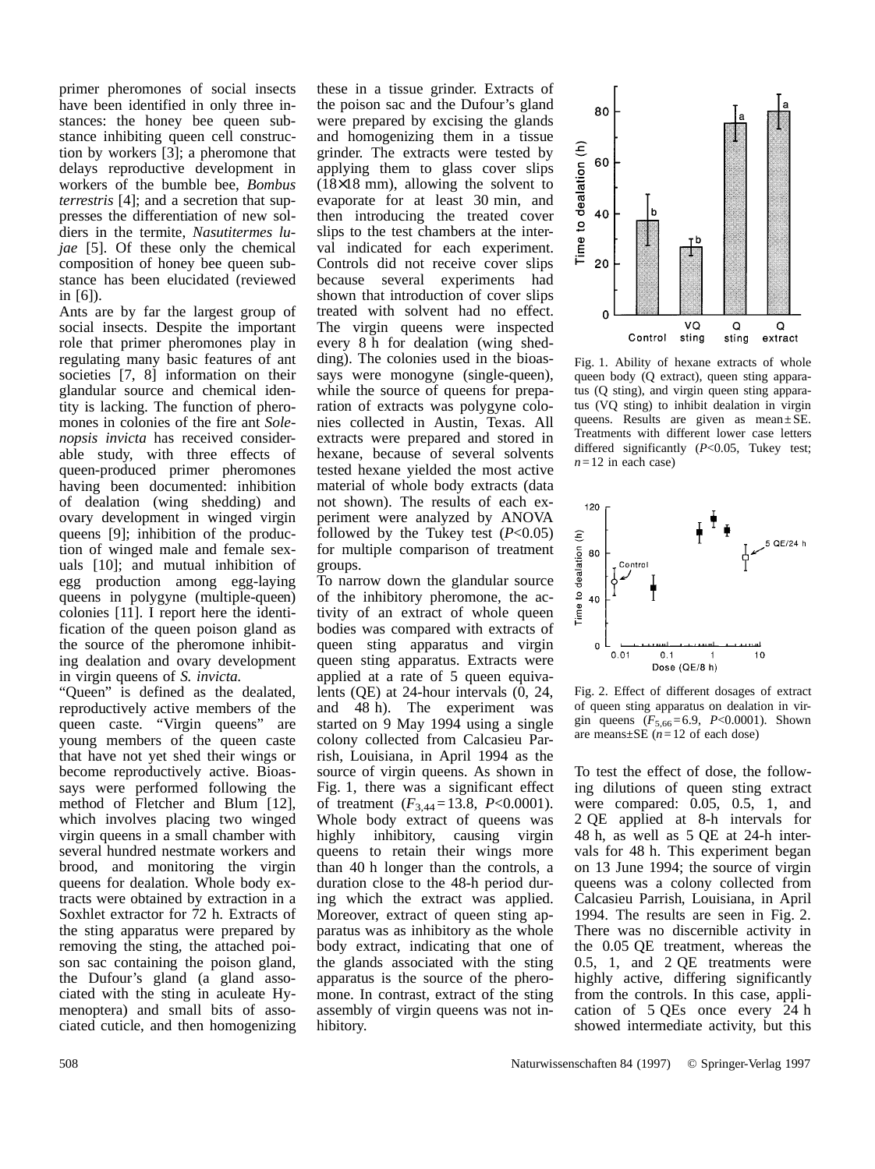primer pheromones of social insects have been identified in only three instances: the honey bee queen substance inhibiting queen cell construction by workers [3]; a pheromone that delays reproductive development in workers of the bumble bee, *Bombus terrestris* [4]; and a secretion that suppresses the differentiation of new soldiers in the termite, *Nasutitermes lujae* [5]. Of these only the chemical composition of honey bee queen substance has been elucidated (reviewed in [6]).

Ants are by far the largest group of social insects. Despite the important role that primer pheromones play in regulating many basic features of ant societies [7, 8] information on their glandular source and chemical identity is lacking. The function of pheromones in colonies of the fire ant *Solenopsis invicta* has received considerable study, with three effects of queen-produced primer pheromones having been documented: inhibition of dealation (wing shedding) and ovary development in winged virgin queens [9]; inhibition of the production of winged male and female sexuals [10]; and mutual inhibition of egg production among egg-laying queens in polygyne (multiple-queen) colonies [11]. I report here the identification of the queen poison gland as the source of the pheromone inhibiting dealation and ovary development in virgin queens of *S. invicta*.

"Queen" is defined as the dealated, reproductively active members of the queen caste. "Virgin queens" are young members of the queen caste that have not yet shed their wings or become reproductively active. Bioassays were performed following the method of Fletcher and Blum [12], which involves placing two winged virgin queens in a small chamber with several hundred nestmate workers and brood, and monitoring the virgin queens for dealation. Whole body extracts were obtained by extraction in a Soxhlet extractor for 72 h. Extracts of the sting apparatus were prepared by removing the sting, the attached poison sac containing the poison gland, the Dufour's gland (a gland associated with the sting in aculeate Hymenoptera) and small bits of associated cuticle, and then homogenizing these in a tissue grinder. Extracts of the poison sac and the Dufour's gland were prepared by excising the glands and homogenizing them in a tissue grinder. The extracts were tested by applying them to glass cover slips (18×18 mm), allowing the solvent to evaporate for at least 30 min, and then introducing the treated cover slips to the test chambers at the interval indicated for each experiment. Controls did not receive cover slips because several experiments had shown that introduction of cover slips treated with solvent had no effect. The virgin queens were inspected every 8 h for dealation (wing shedding). The colonies used in the bioassays were monogyne (single-queen), while the source of queens for preparation of extracts was polygyne colonies collected in Austin, Texas. All extracts were prepared and stored in hexane, because of several solvents tested hexane yielded the most active material of whole body extracts (data not shown). The results of each experiment were analyzed by ANOVA followed by the Tukey test  $(P<0.05)$ for multiple comparison of treatment groups.

To narrow down the glandular source of the inhibitory pheromone, the activity of an extract of whole queen bodies was compared with extracts of queen sting apparatus and virgin queen sting apparatus. Extracts were applied at a rate of 5 queen equivalents (QE) at 24-hour intervals (0, 24, and 48 h). The experiment was started on 9 May 1994 using a single colony collected from Calcasieu Parrish, Louisiana, in April 1994 as the source of virgin queens. As shown in Fig. 1, there was a significant effect of treatment  $(F_{3,44}=13.8, P<0.0001)$ . Whole body extract of queens was highly inhibitory, causing virgin queens to retain their wings more than 40 h longer than the controls, a duration close to the 48-h period during which the extract was applied. Moreover, extract of queen sting apparatus was as inhibitory as the whole body extract, indicating that one of the glands associated with the sting apparatus is the source of the pheromone. In contrast, extract of the sting assembly of virgin queens was not inhibitory.



Fig. 1. Ability of hexane extracts of whole queen body (Q extract), queen sting apparatus (Q sting), and virgin queen sting apparatus (VQ sting) to inhibit dealation in virgin queens. Results are given as mean±SE. Treatments with different lower case letters differed significantly (*P*<0.05, Tukey test;  $n=12$  in each case)



Fig. 2. Effect of different dosages of extract of queen sting apparatus on dealation in virgin queens  $(F_{5,66} = 6.9, P < 0.0001)$ . Shown are means±SE (*n*=12 of each dose)

To test the effect of dose, the following dilutions of queen sting extract were compared:  $0.05$ ,  $0.5$ , 1, and 2 QE applied at 8-h intervals for 48 h, as well as 5 QE at 24-h intervals for 48 h. This experiment began on 13 June 1994; the source of virgin queens was a colony collected from Calcasieu Parrish, Louisiana, in April 1994. The results are seen in Fig. 2. There was no discernible activity in the 0.05 QE treatment, whereas the 0.5, 1, and 2 QE treatments were highly active, differing significantly from the controls. In this case, application of 5 QEs once every 24 h showed intermediate activity, but this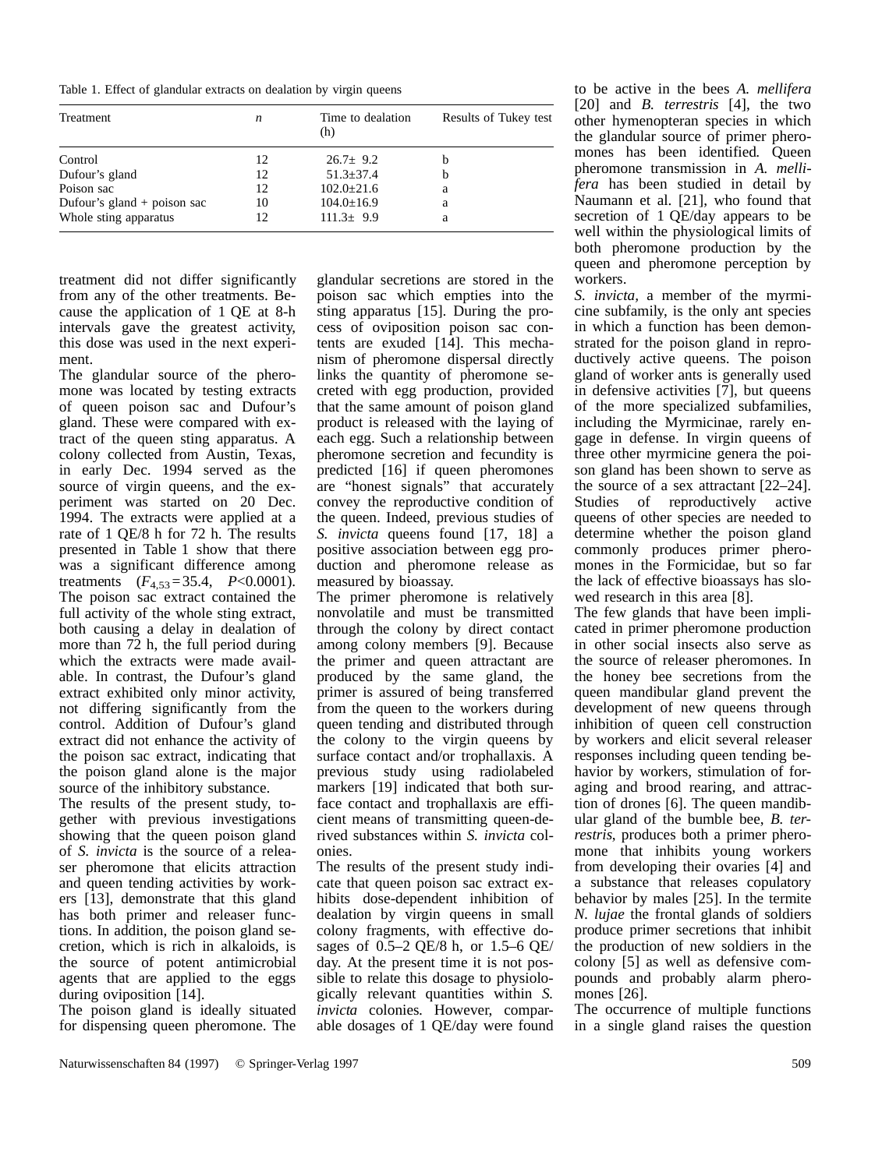Table 1. Effect of glandular extracts on dealation by virgin queens

| Treatment                     | n  | Time to dealation<br>(h) | Results of Tukey test |
|-------------------------------|----|--------------------------|-----------------------|
| Control                       | 12 | $26.7 + 9.2$             |                       |
| Dufour's gland                | 12 | $51.3 + 37.4$            | h                     |
| Poison sac                    | 12 | $102.0 \pm 21.6$         | a                     |
| Dufour's gland $+$ poison sac | 10 | $104.0 \pm 16.9$         | a                     |
| Whole sting apparatus         | 12 | $111.3 \pm 9.9$          | a                     |

treatment did not differ significantly from any of the other treatments. Because the application of 1 QE at 8-h intervals gave the greatest activity, this dose was used in the next experiment.

The glandular source of the pheromone was located by testing extracts of queen poison sac and Dufour's gland. These were compared with extract of the queen sting apparatus. A colony collected from Austin, Texas, in early Dec. 1994 served as the source of virgin queens, and the experiment was started on 20 Dec. 1994. The extracts were applied at a rate of 1 QE/8 h for 72 h. The results presented in Table 1 show that there was a significant difference among treatments  $(F_{4,53}=35.4, P<0.0001)$ . The poison sac extract contained the full activity of the whole sting extract, both causing a delay in dealation of more than 72 h, the full period during which the extracts were made available. In contrast, the Dufour's gland extract exhibited only minor activity, not differing significantly from the control. Addition of Dufour's gland extract did not enhance the activity of the poison sac extract, indicating that the poison gland alone is the major source of the inhibitory substance.

The results of the present study, together with previous investigations showing that the queen poison gland of *S. invicta* is the source of a releaser pheromone that elicits attraction and queen tending activities by workers [13], demonstrate that this gland has both primer and releaser functions. In addition, the poison gland secretion, which is rich in alkaloids, is the source of potent antimicrobial agents that are applied to the eggs during oviposition [14].

The poison gland is ideally situated for dispensing queen pheromone. The glandular secretions are stored in the poison sac which empties into the sting apparatus [15]. During the process of oviposition poison sac contents are exuded [14]. This mechanism of pheromone dispersal directly links the quantity of pheromone secreted with egg production, provided that the same amount of poison gland product is released with the laying of each egg. Such a relationship between pheromone secretion and fecundity is predicted [16] if queen pheromones are "honest signals" that accurately convey the reproductive condition of the queen. Indeed, previous studies of *S. invicta* queens found [17, 18] a positive association between egg production and pheromone release as measured by bioassay.

The primer pheromone is relatively nonvolatile and must be transmitted through the colony by direct contact among colony members [9]. Because the primer and queen attractant are produced by the same gland, the primer is assured of being transferred from the queen to the workers during queen tending and distributed through the colony to the virgin queens by surface contact and/or trophallaxis. A previous study using radiolabeled markers [19] indicated that both surface contact and trophallaxis are efficient means of transmitting queen-derived substances within *S. invicta* colonies.

The results of the present study indicate that queen poison sac extract exhibits dose-dependent inhibition of dealation by virgin queens in small colony fragments, with effective dosages of 0.5–2 QE/8 h, or 1.5–6 QE/ day. At the present time it is not possible to relate this dosage to physiologically relevant quantities within *S. invicta* colonies. However, comparable dosages of 1 QE/day were found

to be active in the bees *A. mellifera* [20] and *B. terrestris* [4], the two other hymenopteran species in which the glandular source of primer pheromones has been identified. Queen pheromone transmission in *A. mellifera* has been studied in detail by Naumann et al. [21], who found that secretion of 1 QE/day appears to be well within the physiological limits of both pheromone production by the queen and pheromone perception by workers.

*S. invicta,* a member of the myrmicine subfamily, is the only ant species in which a function has been demonstrated for the poison gland in reproductively active queens. The poison gland of worker ants is generally used in defensive activities [7], but queens of the more specialized subfamilies, including the Myrmicinae, rarely engage in defense. In virgin queens of three other myrmicine genera the poison gland has been shown to serve as the source of a sex attractant [22–24]. Studies of reproductively active queens of other species are needed to determine whether the poison gland commonly produces primer pheromones in the Formicidae, but so far the lack of effective bioassays has slowed research in this area [8].

The few glands that have been implicated in primer pheromone production in other social insects also serve as the source of releaser pheromones. In the honey bee secretions from the queen mandibular gland prevent the development of new queens through inhibition of queen cell construction by workers and elicit several releaser responses including queen tending behavior by workers, stimulation of foraging and brood rearing, and attraction of drones [6]. The queen mandibular gland of the bumble bee, *B. terrestris*, produces both a primer pheromone that inhibits young workers from developing their ovaries [4] and a substance that releases copulatory behavior by males [25]. In the termite *N. lujae* the frontal glands of soldiers produce primer secretions that inhibit the production of new soldiers in the colony [5] as well as defensive compounds and probably alarm pheromones [26].

The occurrence of multiple functions in a single gland raises the question